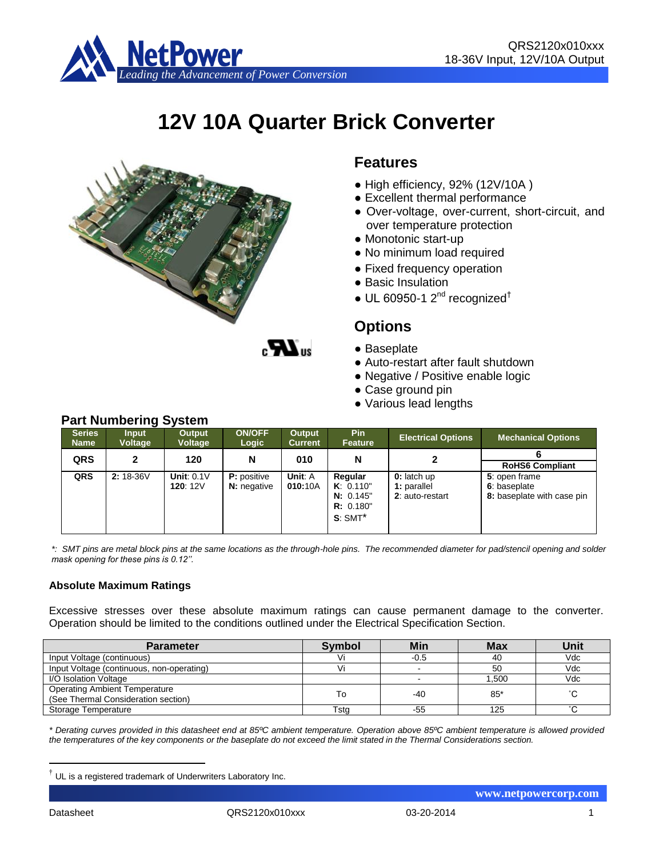

# **12V 10A Quarter Brick Converter**



### **Features**

- High efficiency, 92% (12V/10A )
- Excellent thermal performance
- Over-voltage, over-current, short-circuit, and over temperature protection
- Monotonic start-up
- No minimum load required
- Fixed frequency operation
- Basic Insulation
- $\bullet$  UL 60950-1 2<sup>nd</sup> recognized<sup>†</sup>

## **Options**

- Baseplate
- Auto-restart after fault shutdown
- Negative / Positive enable logic
- Case ground pin
- Various lead lengths

| <b>Series</b><br><b>Name</b> | <b>Input</b><br><b>Voltage</b> | Output<br><b>Voltage</b> | <b>ON/OFF</b><br>Logic | Output<br><b>Current</b> | <b>Pin</b><br>Feature | <b>Electrical Options</b> | <b>Mechanical Options</b>  |  |  |
|------------------------------|--------------------------------|--------------------------|------------------------|--------------------------|-----------------------|---------------------------|----------------------------|--|--|
| <b>QRS</b>                   | 2                              | 120                      | N                      | 010                      | N                     |                           |                            |  |  |
|                              |                                |                          |                        |                          |                       |                           | <b>RoHS6 Compliant</b>     |  |  |
| QRS                          | 2: 18-36V                      | Unit: $0.1V$             | <b>P</b> : positive    | Unit: A                  | Regular               | 0: latch up               | 5: open frame              |  |  |
|                              |                                | 120: $12V$               | <b>N:</b> negative     | 010:10A                  | K: 0.110"             | 1: parallel               | 6: baseplate               |  |  |
|                              |                                |                          |                        |                          | N: 0.145"             | 2: auto-restart           | 8: baseplate with case pin |  |  |
|                              |                                |                          |                        |                          | R: 0.180"             |                           |                            |  |  |
|                              |                                |                          |                        |                          | $S:SMT^*$             |                           |                            |  |  |
|                              |                                |                          |                        |                          |                       |                           |                            |  |  |

*\*: SMT pins are metal block pins at the same locations as the through-hole pins. The recommended diameter for pad/stencil opening and solder mask opening for these pins is 0.12''.*

### **Absolute Maximum Ratings**

Excessive stresses over these absolute maximum ratings can cause permanent damage to the converter. Operation should be limited to the conditions outlined under the Electrical Specification Section.

| <b>Parameter</b>                                                            | <b>Symbol</b> | Min    | <b>Max</b> | Unit                |
|-----------------------------------------------------------------------------|---------------|--------|------------|---------------------|
| Input Voltage (continuous)                                                  |               | $-0.5$ | 40         | Vdc                 |
| Input Voltage (continuous, non-operating)                                   |               |        | 50         | Vdc                 |
| I/O Isolation Voltage                                                       |               |        | .500       | Vdc                 |
| <b>Operating Ambient Temperature</b><br>(See Thermal Consideration section) | To            | -40    | $85*$      | °С                  |
| Storage Temperature                                                         | Tsta          | -55    | 125        | $\hat{\phantom{a}}$ |

*\* Derating curves provided in this datasheet end at 85ºC ambient temperature. Operation above 85ºC ambient temperature is allowed provided the temperatures of the key components or the baseplate do not exceed the limit stated in the Thermal Considerations section.*

1

 **www.netpowercorp.com**

## **Part Numbering System**

 $\dagger$  UL is a registered trademark of Underwriters Laboratory Inc.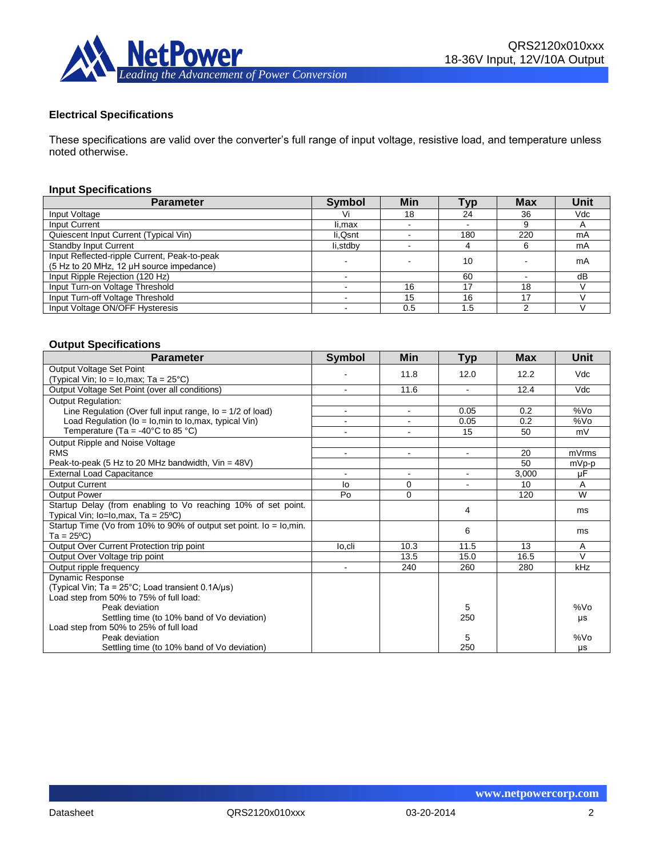

#### **Electrical Specifications**

These specifications are valid over the converter's full range of input voltage, resistive load, and temperature unless noted otherwise.

#### **Input Specifications**

| <b>Parameter</b>                                                                         | <b>Symbol</b> | Min                      | <b>Typ</b> | <b>Max</b> | Unit |
|------------------------------------------------------------------------------------------|---------------|--------------------------|------------|------------|------|
| Input Voltage                                                                            | Vi            | 18                       | 24         | 36         | Vdc  |
| Input Current                                                                            | li,max        |                          |            | 9          |      |
| Quiescent Input Current (Typical Vin)                                                    | li, Qsnt      |                          | 180        | 220        | mA   |
| <b>Standby Input Current</b>                                                             | li,stdby      | $\overline{\phantom{0}}$ |            | 6          | mA   |
| Input Reflected-ripple Current, Peak-to-peak<br>(5 Hz to 20 MHz, 12 µH source impedance) |               |                          | 10         |            | mA   |
| Input Ripple Rejection (120 Hz)                                                          |               |                          | 60         |            | dB   |
| Input Turn-on Voltage Threshold                                                          |               | 16                       | 17         | 18         |      |
| Input Turn-off Voltage Threshold                                                         |               | 15                       | 16         | 17         |      |
| Input Voltage ON/OFF Hysteresis                                                          |               | 0.5                      | .5         |            |      |

#### **Output Specifications**

| <b>Parameter</b>                                                   | <b>Symbol</b>            | <b>Min</b>     | <b>Typ</b> | <b>Max</b> | <b>Unit</b>     |
|--------------------------------------------------------------------|--------------------------|----------------|------------|------------|-----------------|
| Output Voltage Set Point                                           |                          | 11.8           | 12.0       | 12.2       | Vdc             |
| (Typical Vin; lo = lo,max; Ta = 25°C)                              |                          |                |            |            |                 |
| Output Voltage Set Point (over all conditions)                     |                          | 11.6           |            | 12.4       | Vdc             |
| <b>Output Regulation:</b>                                          |                          |                |            |            |                 |
| Line Regulation (Over full input range, $I_0 = 1/2$ of load)       | $\blacksquare$           | $\sim$         | 0.05       | 0.2        | %V <sub>O</sub> |
| Load Regulation ( $I_0 = I_0$ , min to $I_0$ , max, typical Vin)   |                          | $\blacksquare$ | 0.05       | 0.2        | %V <sub>O</sub> |
| Temperature (Ta = -40 $\degree$ C to 85 $\degree$ C)               |                          |                | 15         | 50         | mV              |
| Output Ripple and Noise Voltage                                    |                          |                |            |            |                 |
| <b>RMS</b>                                                         | $\overline{\phantom{0}}$ | $\blacksquare$ | $\sim$     | 20         | mVrms           |
| Peak-to-peak (5 Hz to 20 MHz bandwidth, Vin = 48V)                 |                          |                |            | 50         | mVp-p           |
| <b>External Load Capacitance</b>                                   | $\blacksquare$           | $\sim$         | $\sim$     | 3,000      | μF              |
| <b>Output Current</b>                                              | lo                       | 0              |            | 10         | A               |
| <b>Output Power</b>                                                | Po                       | $\mathbf 0$    |            | 120        | W               |
| Startup Delay (from enabling to Vo reaching 10% of set point.      |                          |                | 4          |            | ms              |
| Typical Vin; lo=lo, max, Ta = 25°C)                                |                          |                |            |            |                 |
| Startup Time (Vo from 10% to 90% of output set point. lo = lo,min. |                          |                | 6          |            | ms              |
| $Ta = 25^{\circ}C$                                                 |                          |                |            |            |                 |
| Output Over Current Protection trip point                          | lo.cli                   | 10.3           | 11.5       | 13         | A               |
| Output Over Voltage trip point                                     |                          | 13.5           | 15.0       | 16.5       | $\vee$          |
| Output ripple frequency                                            |                          | 240            | 260        | 280        | kHz             |
| Dynamic Response                                                   |                          |                |            |            |                 |
| (Typical Vin; Ta = $25^{\circ}$ C; Load transient 0.1A/ $\mu$ s)   |                          |                |            |            |                 |
| Load step from 50% to 75% of full load:                            |                          |                |            |            |                 |
| Peak deviation                                                     |                          |                | 5          |            | %V <sub>O</sub> |
| Settling time (to 10% band of Vo deviation)                        |                          |                | 250        |            | μs              |
| Load step from 50% to 25% of full load                             |                          |                |            |            |                 |
| Peak deviation                                                     |                          |                | 5          |            | %Vo             |
| Settling time (to 10% band of Vo deviation)                        |                          |                | 250        |            | <b>US</b>       |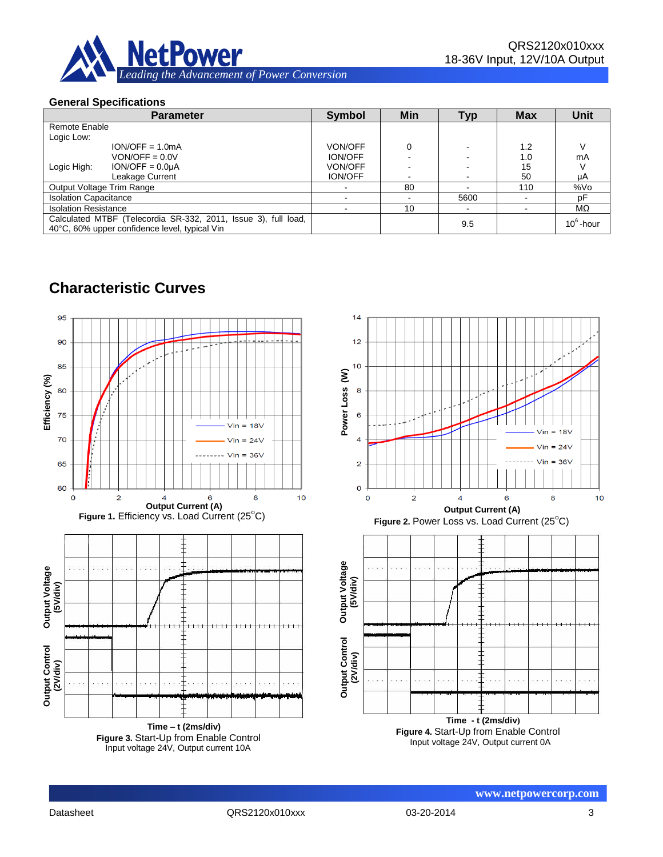

### **General Specifications**

| <b>Parameter</b>                                                                                                | <b>Symbol</b>  | Min | <b>Typ</b> | <b>Max</b> | <b>Unit</b>  |
|-----------------------------------------------------------------------------------------------------------------|----------------|-----|------------|------------|--------------|
| Remote Enable                                                                                                   |                |     |            |            |              |
| Logic Low:                                                                                                      |                |     |            |            |              |
| $ION/OFF = 1.0mA$                                                                                               | <b>VON/OFF</b> |     |            | 1.2        |              |
| $VON/OFF = 0.0 V$                                                                                               | <b>ION/OFF</b> |     |            | 1.0        | mA           |
| $ION/OFF = 0.0µA$<br>Logic High:                                                                                | <b>VON/OFF</b> |     |            | 15         |              |
| Leakage Current                                                                                                 | <b>ION/OFF</b> |     |            | 50         | μA           |
| Output Voltage Trim Range                                                                                       |                | 80  |            | 110        | %Vo          |
| <b>Isolation Capacitance</b>                                                                                    |                |     | 5600       |            | рF           |
| <b>Isolation Resistance</b>                                                                                     |                | 10  |            |            | МΩ           |
| Calculated MTBF (Telecordia SR-332, 2011, Issue 3), full load,<br>40°C, 60% upper confidence level, typical Vin |                |     | 9.5        |            | $10^6$ -hour |

# **Characteristic Curves**



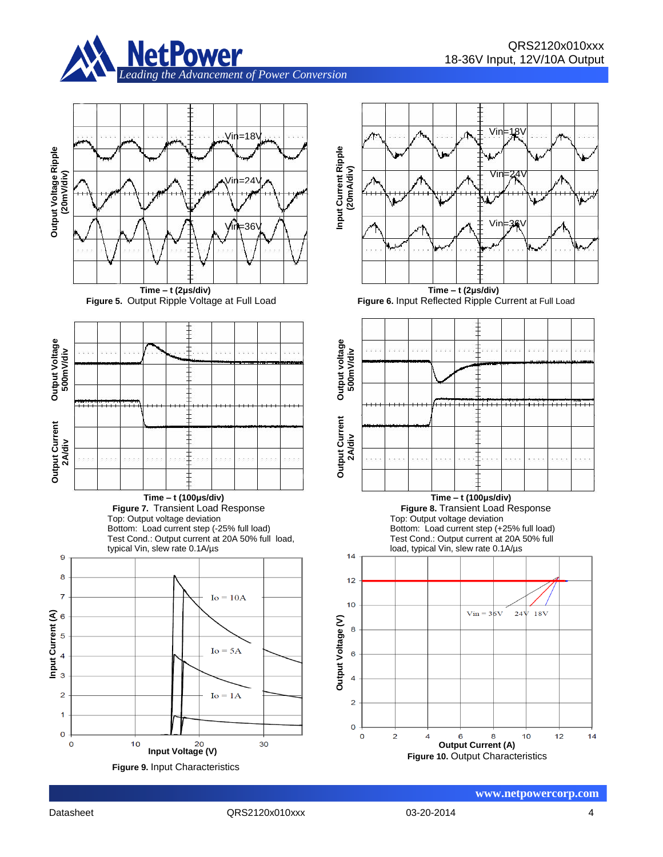













**Figure 6.** Input Reflected Ripple Current at Full Load





 $14$ 



9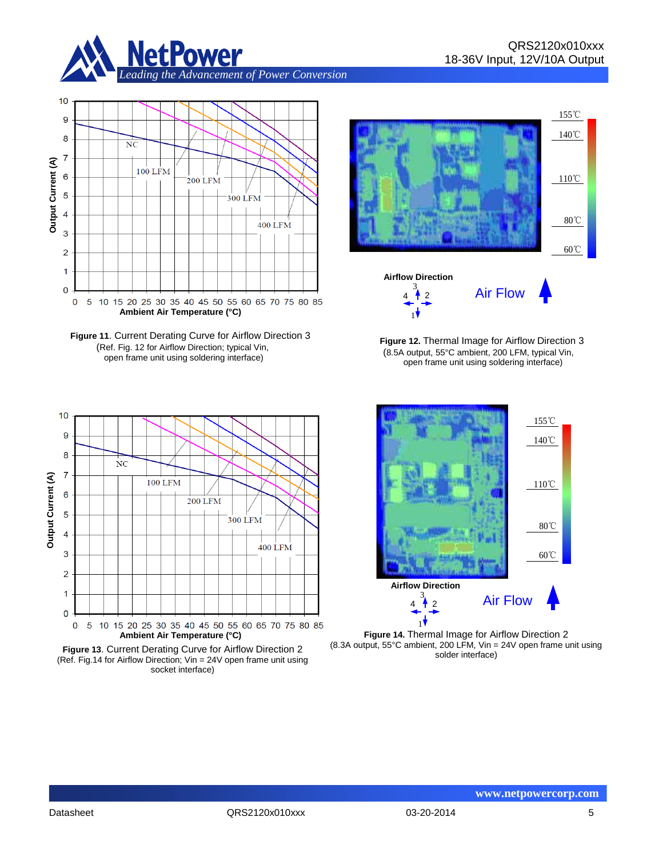



**Figure 11**. Current Derating Curve for Airflow Direction 3 (Ref. Fig. 12 for Airflow Direction; typical Vin, open frame unit using soldering interface)







 **Figure 12.** Thermal Image for Airflow Direction 3 (8.5A output, 55°C ambient, 200 LFM, typical Vin, open frame unit using soldering interface)



**Figure 14.** Thermal Image for Airflow Direction 2 (8.3A output, 55°C ambient, 200 LFM, Vin = 24V open frame unit using solder interface)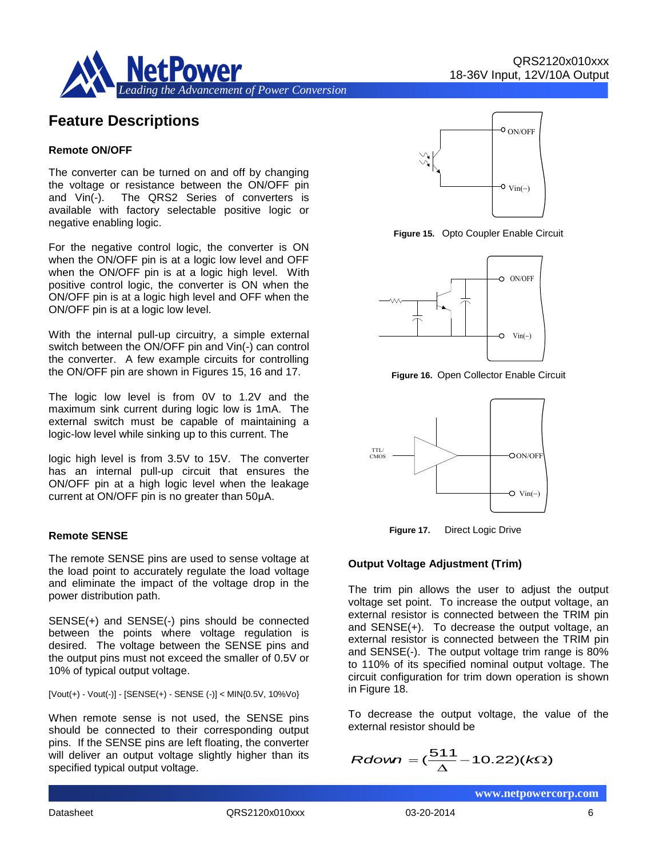

### **Feature Descriptions**

#### **Remote ON/OFF**

The converter can be turned on and off by changing the voltage or resistance between the ON/OFF pin and Vin(-). The QRS2 Series of converters is available with factory selectable positive logic or negative enabling logic.

For the negative control logic, the converter is ON when the ON/OFF pin is at a logic low level and OFF when the ON/OFF pin is at a logic high level. With positive control logic, the converter is ON when the ON/OFF pin is at a logic high level and OFF when the ON/OFF pin is at a logic low level.

With the internal pull-up circuitry, a simple external switch between the ON/OFF pin and Vin(-) can control the converter. A few example circuits for controlling the ON/OFF pin are shown in Figures 15, 16 and 17.

The logic low level is from 0V to 1.2V and the maximum sink current during logic low is 1mA. The external switch must be capable of maintaining a logic-low level while sinking up to this current. The

logic high level is from 3.5V to 15V. The converter has an internal pull-up circuit that ensures the ON/OFF pin at a high logic level when the leakage current at ON/OFF pin is no greater than 50μA.

#### **Remote SENSE**

The remote SENSE pins are used to sense voltage at the load point to accurately regulate the load voltage and eliminate the impact of the voltage drop in the power distribution path.

SENSE(+) and SENSE(-) pins should be connected between the points where voltage regulation is desired. The voltage between the SENSE pins and the output pins must not exceed the smaller of 0.5V or 10% of typical output voltage.

 $[Vout(+) - Vout(-)] - [SENSE(+) - SENSE(-)] < MIN(0.5V, 10\% Vo)$ 

When remote sense is not used, the SENSE pins should be connected to their corresponding output pins. If the SENSE pins are left floating, the converter will deliver an output voltage slightly higher than its specified typical output voltage.



**Figure 15.** Opto Coupler Enable Circuit



**Figure 16.** Open Collector Enable Circuit



 **Figure 17.** Direct Logic Drive

#### **Output Voltage Adjustment (Trim)**

The trim pin allows the user to adjust the output voltage set point. To increase the output voltage, an external resistor is connected between the TRIM pin and SENSE(+). To decrease the output voltage, an external resistor is connected between the TRIM pin and SENSE(-). The output voltage trim range is 80% to 110% of its specified nominal output voltage. The circuit configuration for trim down operation is shown in Figure 18.

To decrease the output voltage, the value of the external resistor should be

$$
Rdown = (\frac{511}{\Delta} - 10.22)(k\Omega)
$$

Datasheet QRS2120x010xxx 03-20-2014 6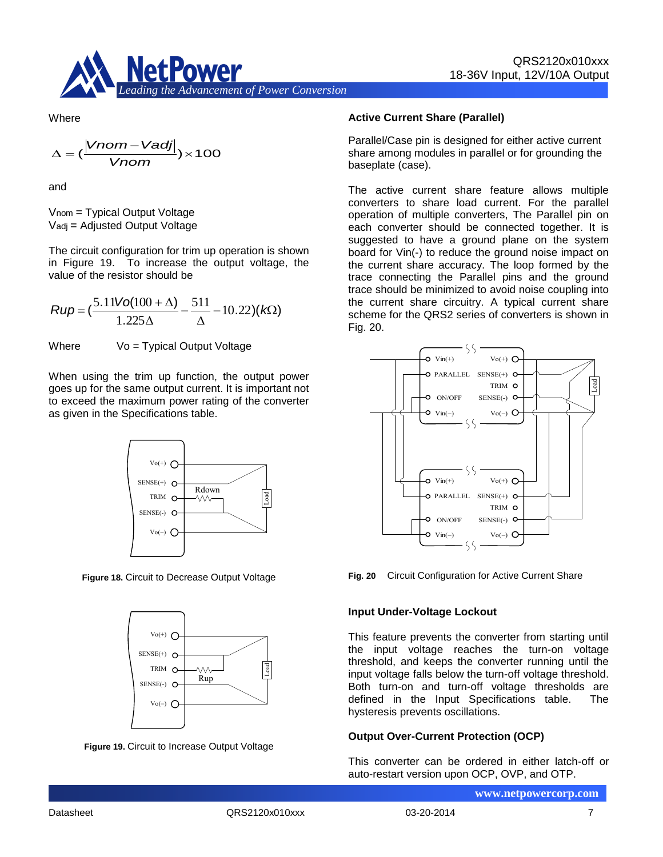

**Where** 

$$
\Delta = (\frac{|Vnom - Vadj|}{Vnom}) \times 100
$$

and

Vnom = Typical Output Voltage Vadj = Adjusted Output Voltage

The circuit configuration for trim up operation is shown in Figure 19. To increase the output voltage, the value of the resistor should be

$$
Rup = \left(\frac{5.11\text{Vol}(100 + \Delta)}{1.225\Delta} - \frac{511}{\Delta} - 10.22\right)(k\Omega)
$$

Where  $V_0 = T$ ypical Output Voltage

When using the trim up function, the output power goes up for the same output current. It is important not to exceed the maximum power rating of the converter as given in the Specifications table.



**Figure 18.** Circuit to Decrease Output Voltage



**Figure 19.** Circuit to Increase Output Voltage

#### **Active Current Share (Parallel)**

Parallel/Case pin is designed for either active current share among modules in parallel or for grounding the baseplate (case).

The active current share feature allows multiple converters to share load current. For the parallel operation of multiple converters, The Parallel pin on each converter should be connected together. It is suggested to have a ground plane on the system board for Vin(-) to reduce the ground noise impact on the current share accuracy. The loop formed by the trace connecting the Parallel pins and the ground trace should be minimized to avoid noise coupling into the current share circuitry. A typical current share scheme for the QRS2 series of converters is shown in Fig. 20.



**Fig. 20** Circuit Configuration for Active Current Share

#### **Input Under-Voltage Lockout**

This feature prevents the converter from starting until the input voltage reaches the turn-on voltage threshold, and keeps the converter running until the input voltage falls below the turn-off voltage threshold. Both turn-on and turn-off voltage thresholds are defined in the Input Specifications table. The hysteresis prevents oscillations.

#### **Output Over-Current Protection (OCP)**

This converter can be ordered in either latch-off or auto-restart version upon OCP, OVP, and OTP.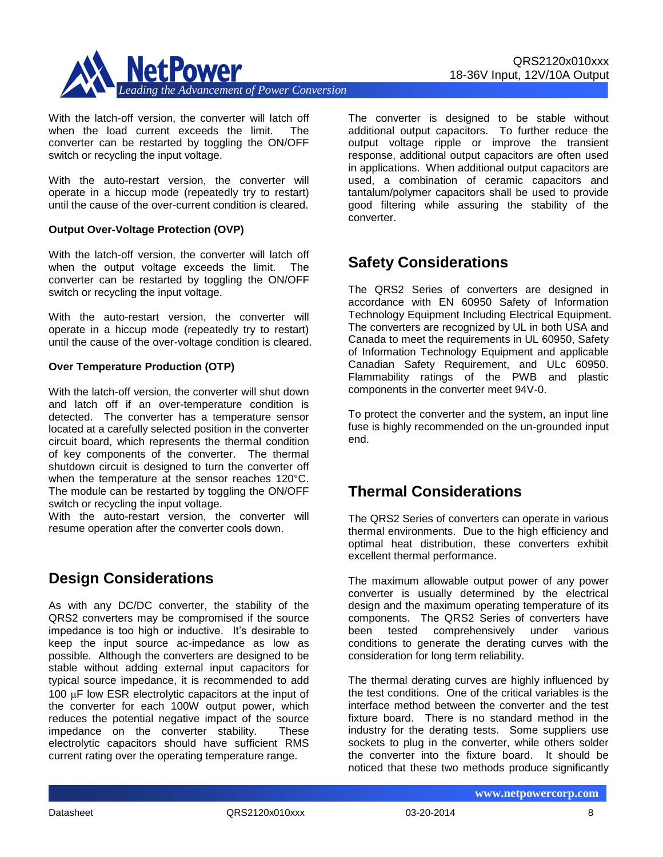

With the latch-off version, the converter will latch off when the load current exceeds the limit. The converter can be restarted by toggling the ON/OFF switch or recycling the input voltage.

With the auto-restart version, the converter will operate in a hiccup mode (repeatedly try to restart) until the cause of the over-current condition is cleared.

#### **Output Over-Voltage Protection (OVP)**

With the latch-off version, the converter will latch off when the output voltage exceeds the limit. The converter can be restarted by toggling the ON/OFF switch or recycling the input voltage.

With the auto-restart version, the converter will operate in a hiccup mode (repeatedly try to restart) until the cause of the over-voltage condition is cleared.

#### **Over Temperature Production (OTP)**

With the latch-off version, the converter will shut down and latch off if an over-temperature condition is detected. The converter has a temperature sensor located at a carefully selected position in the converter circuit board, which represents the thermal condition of key components of the converter. The thermal shutdown circuit is designed to turn the converter off when the temperature at the sensor reaches 120°C. The module can be restarted by toggling the ON/OFF switch or recycling the input voltage.

With the auto-restart version, the converter will resume operation after the converter cools down.

### **Design Considerations**

As with any DC/DC converter, the stability of the QRS2 converters may be compromised if the source impedance is too high or inductive. It's desirable to keep the input source ac-impedance as low as possible. Although the converters are designed to be stable without adding external input capacitors for typical source impedance, it is recommended to add 100  $\mu$ F low ESR electrolytic capacitors at the input of the converter for each 100W output power, which reduces the potential negative impact of the source impedance on the converter stability. These electrolytic capacitors should have sufficient RMS current rating over the operating temperature range.

The converter is designed to be stable without additional output capacitors. To further reduce the output voltage ripple or improve the transient response, additional output capacitors are often used in applications. When additional output capacitors are used, a combination of ceramic capacitors and tantalum/polymer capacitors shall be used to provide good filtering while assuring the stability of the converter.

### **Safety Considerations**

The QRS2 Series of converters are designed in accordance with EN 60950 Safety of Information Technology Equipment Including Electrical Equipment. The converters are recognized by UL in both USA and Canada to meet the requirements in UL 60950, Safety of Information Technology Equipment and applicable Canadian Safety Requirement, and ULc 60950. Flammability ratings of the PWB and plastic components in the converter meet 94V-0.

To protect the converter and the system, an input line fuse is highly recommended on the un-grounded input end.

### **Thermal Considerations**

The QRS2 Series of converters can operate in various thermal environments. Due to the high efficiency and optimal heat distribution, these converters exhibit excellent thermal performance.

The maximum allowable output power of any power converter is usually determined by the electrical design and the maximum operating temperature of its components. The QRS2 Series of converters have been tested comprehensively under various conditions to generate the derating curves with the consideration for long term reliability.

The thermal derating curves are highly influenced by the test conditions. One of the critical variables is the interface method between the converter and the test fixture board. There is no standard method in the industry for the derating tests. Some suppliers use sockets to plug in the converter, while others solder the converter into the fixture board. It should be noticed that these two methods produce significantly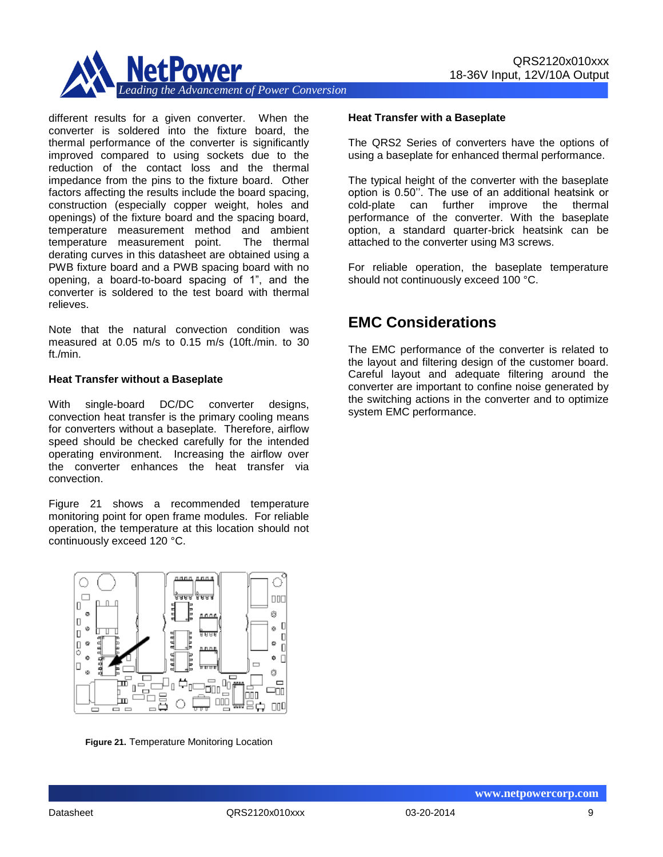

different results for a given converter. When the converter is soldered into the fixture board, the thermal performance of the converter is significantly improved compared to using sockets due to the reduction of the contact loss and the thermal impedance from the pins to the fixture board. Other factors affecting the results include the board spacing, construction (especially copper weight, holes and openings) of the fixture board and the spacing board, temperature measurement method and ambient temperature measurement point. The thermal derating curves in this datasheet are obtained using a PWB fixture board and a PWB spacing board with no opening, a board-to-board spacing of 1", and the converter is soldered to the test board with thermal relieves.

Note that the natural convection condition was measured at 0.05 m/s to 0.15 m/s (10ft./min. to 30 ft./min.

#### **Heat Transfer without a Baseplate**

With single-board DC/DC converter designs, convection heat transfer is the primary cooling means for converters without a baseplate. Therefore, airflow speed should be checked carefully for the intended operating environment. Increasing the airflow over the converter enhances the heat transfer via convection.

Figure 21 shows a recommended temperature monitoring point for open frame modules. For reliable operation, the temperature at this location should not continuously exceed 120 °C.



**Figure 21.** Temperature Monitoring Location

#### **Heat Transfer with a Baseplate**

The QRS2 Series of converters have the options of using a baseplate for enhanced thermal performance.

The typical height of the converter with the baseplate option is 0.50''. The use of an additional heatsink or cold-plate can further improve the thermal performance of the converter. With the baseplate option, a standard quarter-brick heatsink can be attached to the converter using M3 screws.

For reliable operation, the baseplate temperature should not continuously exceed 100 °C.

# **EMC Considerations**

The EMC performance of the converter is related to the layout and filtering design of the customer board. Careful layout and adequate filtering around the converter are important to confine noise generated by the switching actions in the converter and to optimize system EMC performance.